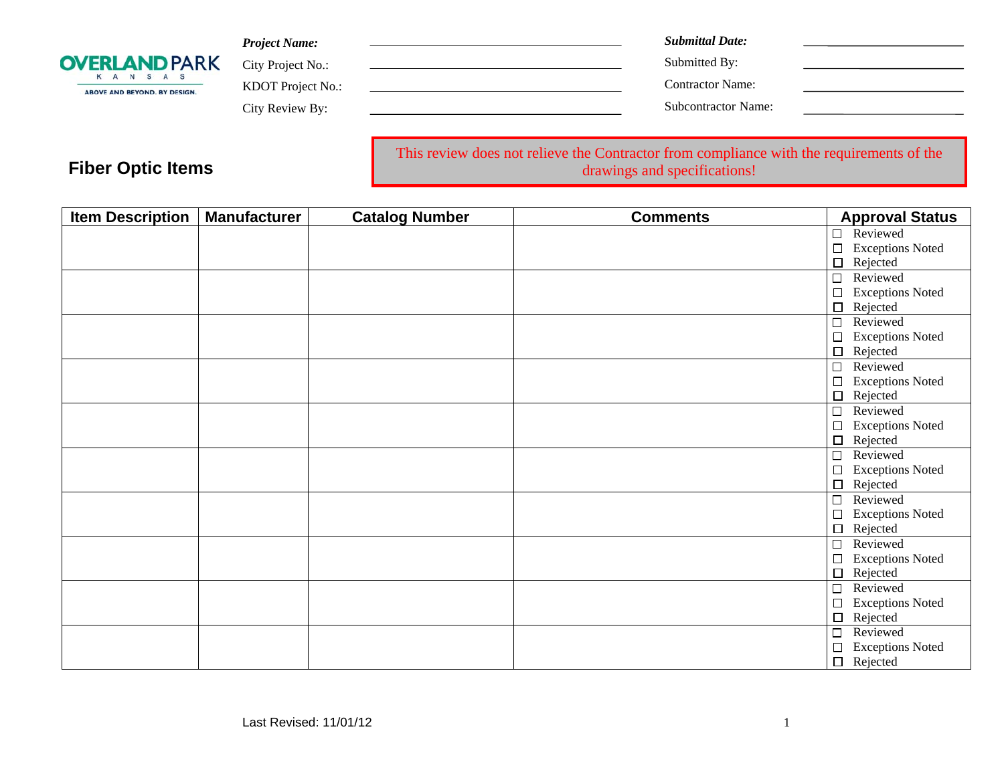| <b>OVERLAND PARK</b><br>K A N S A S<br>ABOVE AND BEYOND, BY DESIGN. | <b>Project Name:</b> | <b>Submittal Date:</b>     |
|---------------------------------------------------------------------|----------------------|----------------------------|
|                                                                     | City Project No.:    | Submitted By:              |
|                                                                     | KDOT Project No.:    | Contractor Name:           |
|                                                                     | City Review By:      | <b>Subcontractor Name:</b> |
|                                                                     |                      |                            |

This review does not relieve the Contractor from compliance with the requirements of the drawings and specifications!

| <b>Item Description</b> | <b>Manufacturer</b> | <b>Catalog Number</b> | <b>Comments</b> | <b>Approval Status</b>            |
|-------------------------|---------------------|-----------------------|-----------------|-----------------------------------|
|                         |                     |                       |                 | $\Box$ Reviewed                   |
|                         |                     |                       |                 | $\Box$<br><b>Exceptions Noted</b> |
|                         |                     |                       |                 | Rejected<br>$\Box$                |
|                         |                     |                       |                 | $\Box$<br>Reviewed                |
|                         |                     |                       |                 | <b>Exceptions Noted</b><br>$\Box$ |
|                         |                     |                       |                 | $\Box$<br>Rejected                |
|                         |                     |                       |                 | Reviewed<br>$\Box$                |
|                         |                     |                       |                 | <b>Exceptions Noted</b><br>$\Box$ |
|                         |                     |                       |                 | Rejected<br>$\Box$                |
|                         |                     |                       |                 | $\Box$<br>Reviewed                |
|                         |                     |                       |                 | <b>Exceptions Noted</b><br>$\Box$ |
|                         |                     |                       |                 | $\Box$<br>Rejected                |
|                         |                     |                       |                 | Reviewed<br>$\Box$                |
|                         |                     |                       |                 | <b>Exceptions Noted</b><br>$\Box$ |
|                         |                     |                       |                 | $\Box$<br>Rejected                |
|                         |                     |                       |                 | Reviewed<br>□                     |
|                         |                     |                       |                 | <b>Exceptions Noted</b><br>□      |
|                         |                     |                       |                 | Rejected<br>$\Box$                |
|                         |                     |                       |                 | Reviewed<br>$\Box$                |
|                         |                     |                       |                 | $\Box$<br><b>Exceptions Noted</b> |
|                         |                     |                       |                 | Rejected<br>$\Box$                |
|                         |                     |                       |                 | Reviewed<br>$\Box$                |
|                         |                     |                       |                 | <b>Exceptions Noted</b><br>□      |
|                         |                     |                       |                 | Rejected<br>$\Box$                |
|                         |                     |                       |                 | $\Box$<br>Reviewed                |
|                         |                     |                       |                 | <b>Exceptions Noted</b><br>$\Box$ |
|                         |                     |                       |                 | Rejected<br>$\Box$                |
|                         |                     |                       |                 | Reviewed<br>$\Box$                |
|                         |                     |                       |                 | $\Box$<br><b>Exceptions Noted</b> |
|                         |                     |                       |                 | $\Box$<br>Rejected                |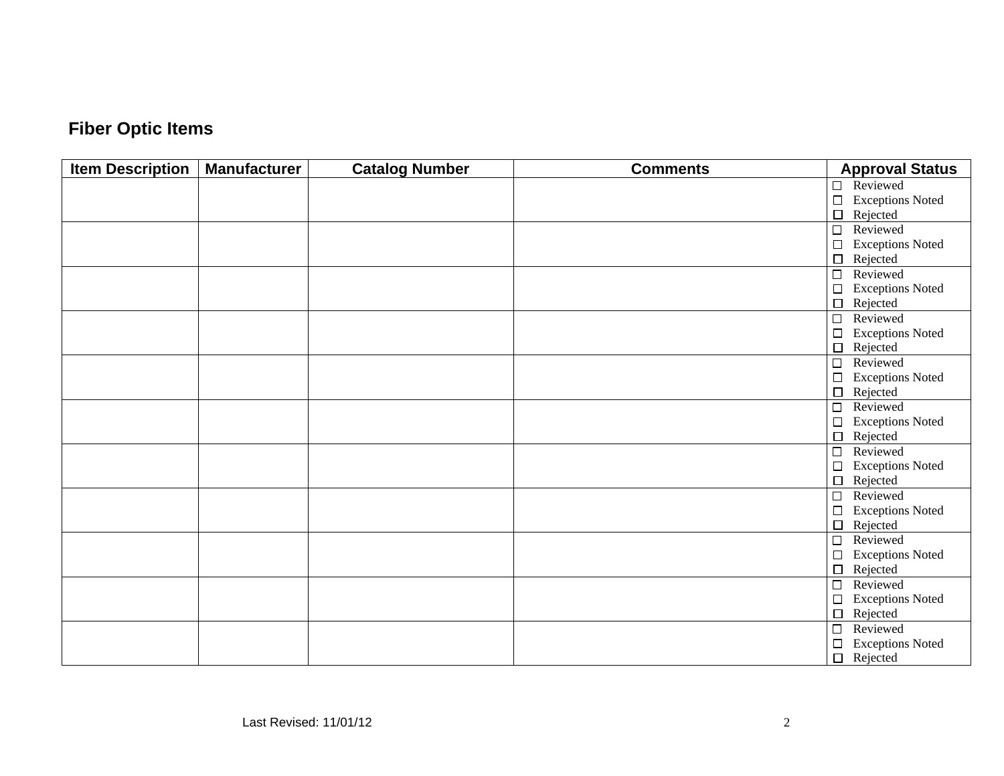| <b>Item Description</b> | <b>Manufacturer</b> | <b>Catalog Number</b> | <b>Comments</b> | <b>Approval Status</b>            |
|-------------------------|---------------------|-----------------------|-----------------|-----------------------------------|
|                         |                     |                       |                 | Reviewed<br>$\Box$                |
|                         |                     |                       |                 | <b>Exceptions Noted</b><br>$\Box$ |
|                         |                     |                       |                 | Rejected<br>$\Box$                |
|                         |                     |                       |                 | Reviewed<br>$\Box$                |
|                         |                     |                       |                 | $\Box$<br><b>Exceptions Noted</b> |
|                         |                     |                       |                 | $\Box$<br>Rejected                |
|                         |                     |                       |                 | Reviewed<br>$\Box$                |
|                         |                     |                       |                 | <b>Exceptions Noted</b><br>$\Box$ |
|                         |                     |                       |                 | Rejected<br>$\Box$                |
|                         |                     |                       |                 | $\Box$<br>Reviewed                |
|                         |                     |                       |                 | $\Box$<br><b>Exceptions Noted</b> |
|                         |                     |                       |                 | $\Box$<br>Rejected                |
|                         |                     |                       |                 | Reviewed<br>$\Box$                |
|                         |                     |                       |                 | <b>Exceptions Noted</b><br>$\Box$ |
|                         |                     |                       |                 | Rejected<br>$\Box$                |
|                         |                     |                       |                 | Reviewed<br>$\Box$                |
|                         |                     |                       |                 | $\Box$<br><b>Exceptions Noted</b> |
|                         |                     |                       |                 | Rejected<br>$\Box$                |
|                         |                     |                       |                 | Reviewed<br>$\Box$                |
|                         |                     |                       |                 | <b>Exceptions Noted</b><br>$\Box$ |
|                         |                     |                       |                 | Rejected<br>$\Box$                |
|                         |                     |                       |                 | $\Box$<br>Reviewed                |
|                         |                     |                       |                 | $\Box$<br><b>Exceptions Noted</b> |
|                         |                     |                       |                 | Rejected<br>$\Box$                |
|                         |                     |                       |                 | Reviewed<br>$\Box$                |
|                         |                     |                       |                 | <b>Exceptions Noted</b><br>$\Box$ |
|                         |                     |                       |                 | $\Box$<br>Rejected                |
|                         |                     |                       |                 | $\Box$<br>Reviewed                |
|                         |                     |                       |                 | <b>Exceptions Noted</b><br>$\Box$ |
|                         |                     |                       |                 | Rejected<br>$\Box$                |
|                         |                     |                       |                 | $\Box$<br>Reviewed                |
|                         |                     |                       |                 | <b>Exceptions Noted</b><br>$\Box$ |
|                         |                     |                       |                 | $\Box$<br>Rejected                |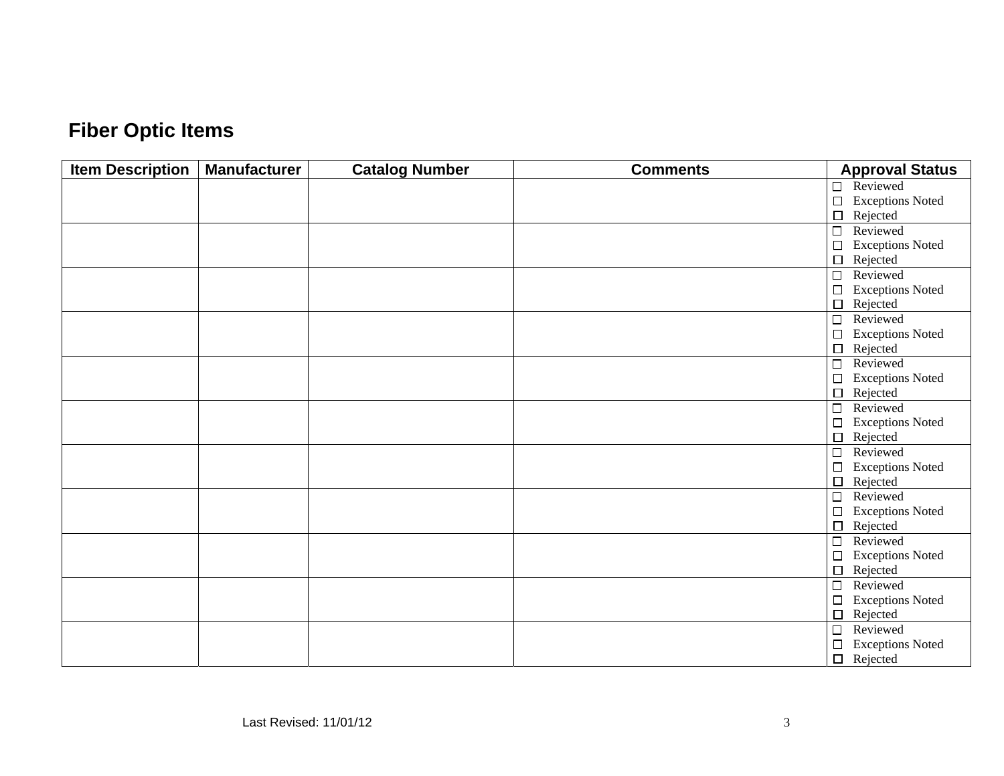| <b>Item Description</b> | <b>Manufacturer</b> | <b>Catalog Number</b> | <b>Comments</b> | <b>Approval Status</b>            |
|-------------------------|---------------------|-----------------------|-----------------|-----------------------------------|
|                         |                     |                       |                 | Reviewed<br>$\Box$                |
|                         |                     |                       |                 | $\Box$<br><b>Exceptions Noted</b> |
|                         |                     |                       |                 | $\Box$<br>Rejected                |
|                         |                     |                       |                 | $\overline{\square}$<br>Reviewed  |
|                         |                     |                       |                 | $\Box$<br><b>Exceptions Noted</b> |
|                         |                     |                       |                 | $\Box$<br>Rejected                |
|                         |                     |                       |                 | Reviewed<br>$\Box$                |
|                         |                     |                       |                 | <b>Exceptions Noted</b><br>$\Box$ |
|                         |                     |                       |                 | $\Box$<br>Rejected                |
|                         |                     |                       |                 | $\overline{\square}$<br>Reviewed  |
|                         |                     |                       |                 | $\Box$<br><b>Exceptions Noted</b> |
|                         |                     |                       |                 | $\Box$<br>Rejected                |
|                         |                     |                       |                 | $\Box$<br>Reviewed                |
|                         |                     |                       |                 | <b>Exceptions Noted</b><br>$\Box$ |
|                         |                     |                       |                 | $\Box$<br>Rejected                |
|                         |                     |                       |                 | $\overline{\square}$<br>Reviewed  |
|                         |                     |                       |                 | $\Box$<br><b>Exceptions Noted</b> |
|                         |                     |                       |                 | Rejected<br>$\Box$                |
|                         |                     |                       |                 | Reviewed<br>$\Box$                |
|                         |                     |                       |                 | <b>Exceptions Noted</b><br>$\Box$ |
|                         |                     |                       |                 | $\Box$<br>Rejected                |
|                         |                     |                       |                 | $\Box$<br>Reviewed                |
|                         |                     |                       |                 | <b>Exceptions Noted</b><br>$\Box$ |
|                         |                     |                       |                 | $\Box$<br>Rejected                |
|                         |                     |                       |                 | Reviewed<br>$\Box$                |
|                         |                     |                       |                 | <b>Exceptions Noted</b><br>$\Box$ |
|                         |                     |                       |                 | $\Box$<br>Rejected                |
|                         |                     |                       |                 | Reviewed<br>$\Box$                |
|                         |                     |                       |                 | <b>Exceptions Noted</b><br>$\Box$ |
|                         |                     |                       |                 | $\Box$<br>Rejected                |
|                         |                     |                       |                 | Reviewed<br>$\Box$                |
|                         |                     |                       |                 | <b>Exceptions Noted</b><br>$\Box$ |
|                         |                     |                       |                 | $\Box$<br>Rejected                |